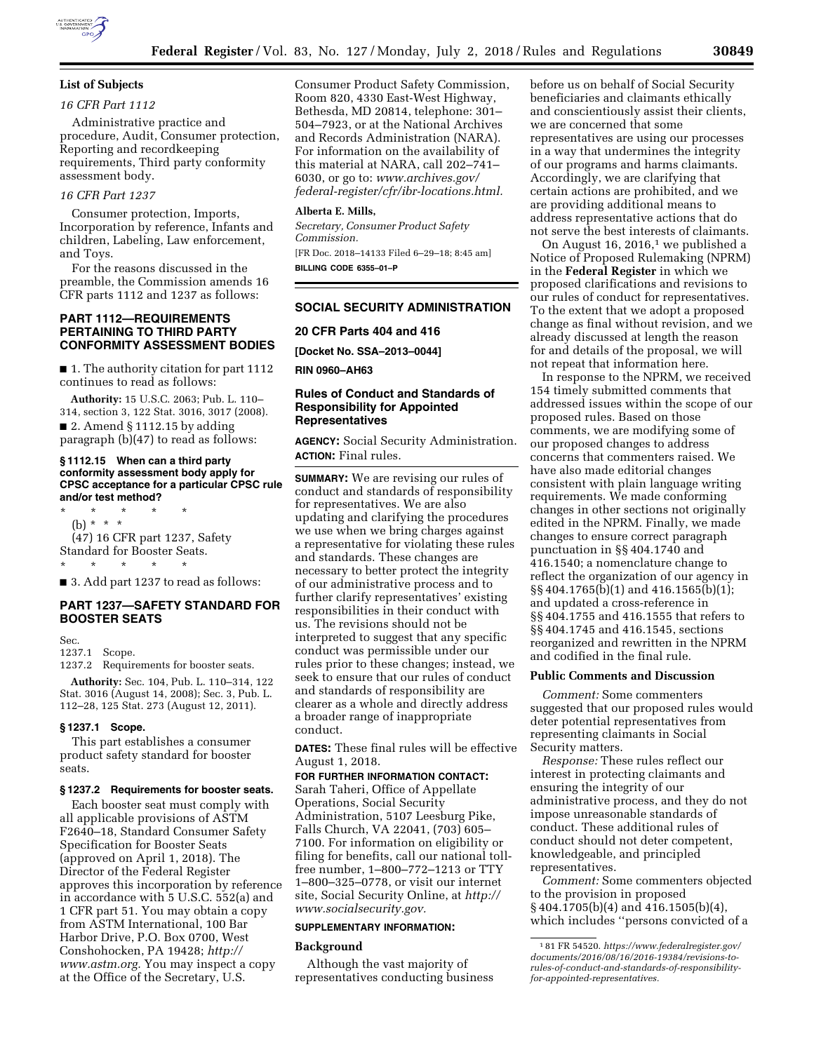

# **List of Subjects**

# *16 CFR Part 1112*

Administrative practice and procedure, Audit, Consumer protection, Reporting and recordkeeping requirements, Third party conformity assessment body.

## *16 CFR Part 1237*

Consumer protection, Imports, Incorporation by reference, Infants and children, Labeling, Law enforcement, and Toys.

For the reasons discussed in the preamble, the Commission amends 16 CFR parts 1112 and 1237 as follows:

## **PART 1112—REQUIREMENTS PERTAINING TO THIRD PARTY CONFORMITY ASSESSMENT BODIES**

■ 1. The authority citation for part 1112 continues to read as follows:

**Authority:** 15 U.S.C. 2063; Pub. L. 110– 314, section 3, 122 Stat. 3016, 3017 (2008). ■ 2. Amend § 1112.15 by adding paragraph (b)(47) to read as follows:

### **§ 1112.15 When can a third party conformity assessment body apply for CPSC acceptance for a particular CPSC rule and/or test method?**

\* \* \* \* \* (b) \* \* \* (47) 16 CFR part 1237, Safety Standard for Booster Seats. \* \* \* \* \*

■ 3. Add part 1237 to read as follows:

# **PART 1237—SAFETY STANDARD FOR BOOSTER SEATS**

Sec.

1237.1 Scope. 1237.2 Requirements for booster seats.

**Authority:** Sec. 104, Pub. L. 110–314, 122 Stat. 3016 (August 14, 2008); Sec. 3, Pub. L. 112–28, 125 Stat. 273 (August 12, 2011).

#### **§ 1237.1 Scope.**

This part establishes a consumer product safety standard for booster seats.

## **§ 1237.2 Requirements for booster seats.**

Each booster seat must comply with all applicable provisions of ASTM F2640–18, Standard Consumer Safety Specification for Booster Seats (approved on April 1, 2018). The Director of the Federal Register approves this incorporation by reference in accordance with 5 U.S.C. 552(a) and 1 CFR part 51. You may obtain a copy from ASTM International, 100 Bar Harbor Drive, P.O. Box 0700, West Conshohocken, PA 19428; *[http://](http://www.astm.org) [www.astm.org.](http://www.astm.org)* You may inspect a copy at the Office of the Secretary, U.S.

Consumer Product Safety Commission, Room 820, 4330 East-West Highway, Bethesda, MD 20814, telephone: 301– 504–7923, or at the National Archives and Records Administration (NARA). For information on the availability of this material at NARA, call 202–741– 6030, or go to: *[www.archives.gov/](http://www.archives.gov/federal-register/cfr/ibr-locations.html)  [federal-register/cfr/ibr-locations.html.](http://www.archives.gov/federal-register/cfr/ibr-locations.html)* 

#### **Alberta E. Mills,**

*Secretary, Consumer Product Safety Commission.*  [FR Doc. 2018–14133 Filed 6–29–18; 8:45 am] **BILLING CODE 6355–01–P** 

### **SOCIAL SECURITY ADMINISTRATION**

#### **20 CFR Parts 404 and 416**

**[Docket No. SSA–2013–0044]** 

**RIN 0960–AH63** 

### **Rules of Conduct and Standards of Responsibility for Appointed Representatives**

**AGENCY:** Social Security Administration. **ACTION:** Final rules.

**SUMMARY:** We are revising our rules of conduct and standards of responsibility for representatives. We are also updating and clarifying the procedures we use when we bring charges against a representative for violating these rules and standards. These changes are necessary to better protect the integrity of our administrative process and to further clarify representatives' existing responsibilities in their conduct with us. The revisions should not be interpreted to suggest that any specific conduct was permissible under our rules prior to these changes; instead, we seek to ensure that our rules of conduct and standards of responsibility are clearer as a whole and directly address a broader range of inappropriate conduct.

**DATES:** These final rules will be effective August 1, 2018.

## **FOR FURTHER INFORMATION CONTACT:**

Sarah Taheri, Office of Appellate Operations, Social Security Administration, 5107 Leesburg Pike, Falls Church, VA 22041, (703) 605– 7100. For information on eligibility or filing for benefits, call our national tollfree number, 1–800–772–1213 or TTY 1–800–325–0778, or visit our internet site, Social Security Online, at *[http://](http://www.socialsecurity.gov) [www.socialsecurity.gov.](http://www.socialsecurity.gov)* 

## **SUPPLEMENTARY INFORMATION:**

#### **Background**

Although the vast majority of representatives conducting business before us on behalf of Social Security beneficiaries and claimants ethically and conscientiously assist their clients, we are concerned that some representatives are using our processes in a way that undermines the integrity of our programs and harms claimants. Accordingly, we are clarifying that certain actions are prohibited, and we are providing additional means to address representative actions that do not serve the best interests of claimants.

On August 16, 2016,<sup>1</sup> we published a Notice of Proposed Rulemaking (NPRM) in the **Federal Register** in which we proposed clarifications and revisions to our rules of conduct for representatives. To the extent that we adopt a proposed change as final without revision, and we already discussed at length the reason for and details of the proposal, we will not repeat that information here.

In response to the NPRM, we received 154 timely submitted comments that addressed issues within the scope of our proposed rules. Based on those comments, we are modifying some of our proposed changes to address concerns that commenters raised. We have also made editorial changes consistent with plain language writing requirements. We made conforming changes in other sections not originally edited in the NPRM. Finally, we made changes to ensure correct paragraph punctuation in §§ 404.1740 and 416.1540; a nomenclature change to reflect the organization of our agency in §§ 404.1765(b)(1) and 416.1565(b)(1); and updated a cross-reference in §§ 404.1755 and 416.1555 that refers to §§ 404.1745 and 416.1545, sections reorganized and rewritten in the NPRM and codified in the final rule.

## **Public Comments and Discussion**

*Comment:* Some commenters suggested that our proposed rules would deter potential representatives from representing claimants in Social Security matters.

*Response:* These rules reflect our interest in protecting claimants and ensuring the integrity of our administrative process, and they do not impose unreasonable standards of conduct. These additional rules of conduct should not deter competent, knowledgeable, and principled representatives.

*Comment:* Some commenters objected to the provision in proposed § 404.1705(b)(4) and 416.1505(b)(4), which includes ''persons convicted of a

<sup>1</sup> 81 FR 54520. *[https://www.federalregister.gov/](https://www.federalregister.gov/documents/2016/08/16/2016-19384/revisions-to-rules-of-conduct-and-standards-of-responsibility-for-appointed-representatives)  [documents/2016/08/16/2016-19384/revisions-to](https://www.federalregister.gov/documents/2016/08/16/2016-19384/revisions-to-rules-of-conduct-and-standards-of-responsibility-for-appointed-representatives)[rules-of-conduct-and-standards-of-responsibility](https://www.federalregister.gov/documents/2016/08/16/2016-19384/revisions-to-rules-of-conduct-and-standards-of-responsibility-for-appointed-representatives)[for-appointed-representatives.](https://www.federalregister.gov/documents/2016/08/16/2016-19384/revisions-to-rules-of-conduct-and-standards-of-responsibility-for-appointed-representatives)*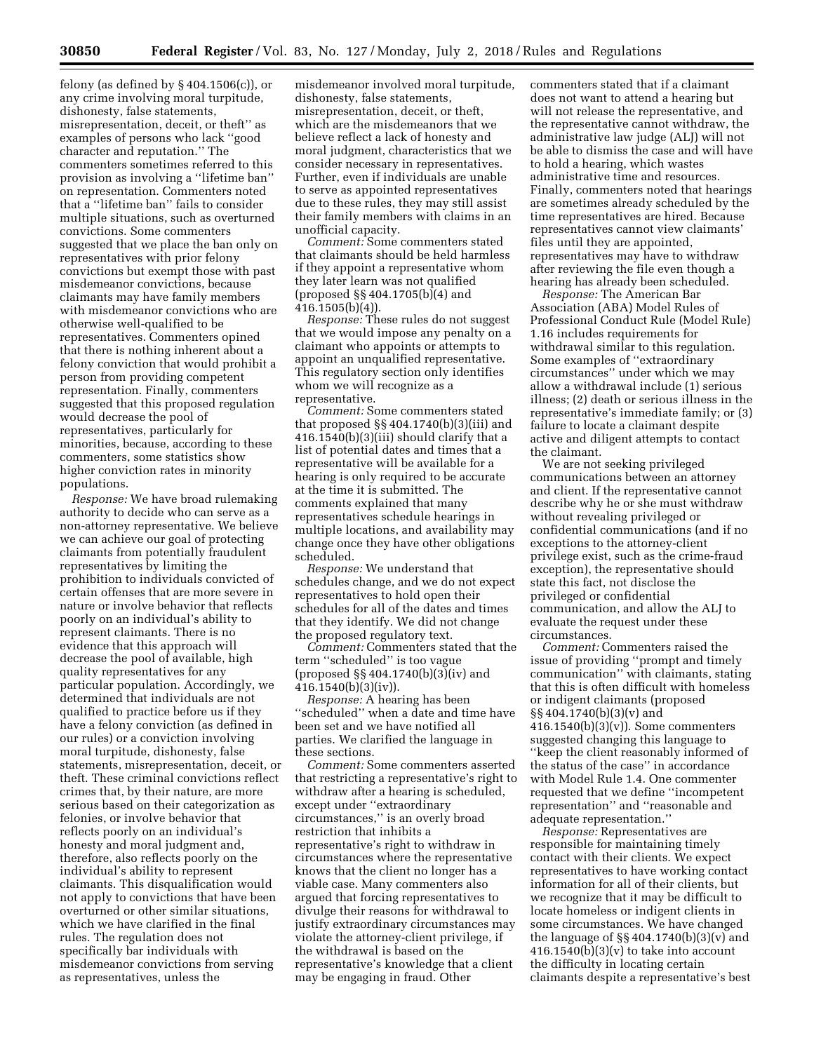felony (as defined by  $\S 404.1506(c)$ ), or any crime involving moral turpitude, dishonesty, false statements, misrepresentation, deceit, or theft'' as examples of persons who lack ''good character and reputation.'' The commenters sometimes referred to this provision as involving a ''lifetime ban'' on representation. Commenters noted that a ''lifetime ban'' fails to consider multiple situations, such as overturned convictions. Some commenters suggested that we place the ban only on representatives with prior felony convictions but exempt those with past misdemeanor convictions, because claimants may have family members with misdemeanor convictions who are otherwise well-qualified to be representatives. Commenters opined that there is nothing inherent about a felony conviction that would prohibit a person from providing competent representation. Finally, commenters suggested that this proposed regulation would decrease the pool of representatives, particularly for minorities, because, according to these commenters, some statistics show higher conviction rates in minority populations.

*Response:* We have broad rulemaking authority to decide who can serve as a non-attorney representative. We believe we can achieve our goal of protecting claimants from potentially fraudulent representatives by limiting the prohibition to individuals convicted of certain offenses that are more severe in nature or involve behavior that reflects poorly on an individual's ability to represent claimants. There is no evidence that this approach will decrease the pool of available, high quality representatives for any particular population. Accordingly, we determined that individuals are not qualified to practice before us if they have a felony conviction (as defined in our rules) or a conviction involving moral turpitude, dishonesty, false statements, misrepresentation, deceit, or theft. These criminal convictions reflect crimes that, by their nature, are more serious based on their categorization as felonies, or involve behavior that reflects poorly on an individual's honesty and moral judgment and, therefore, also reflects poorly on the individual's ability to represent claimants. This disqualification would not apply to convictions that have been overturned or other similar situations, which we have clarified in the final rules. The regulation does not specifically bar individuals with misdemeanor convictions from serving as representatives, unless the

misdemeanor involved moral turpitude, dishonesty, false statements, misrepresentation, deceit, or theft, which are the misdemeanors that we believe reflect a lack of honesty and moral judgment, characteristics that we consider necessary in representatives. Further, even if individuals are unable to serve as appointed representatives due to these rules, they may still assist their family members with claims in an unofficial capacity.

*Comment:* Some commenters stated that claimants should be held harmless if they appoint a representative whom they later learn was not qualified (proposed §§ 404.1705(b)(4) and 416.1505(b)(4)).

*Response:* These rules do not suggest that we would impose any penalty on a claimant who appoints or attempts to appoint an unqualified representative. This regulatory section only identifies whom we will recognize as a representative.

*Comment:* Some commenters stated that proposed  $\S$  404.1740(b)(3)(iii) and 416.1540(b)(3)(iii) should clarify that a list of potential dates and times that a representative will be available for a hearing is only required to be accurate at the time it is submitted. The comments explained that many representatives schedule hearings in multiple locations, and availability may change once they have other obligations scheduled.

*Response:* We understand that schedules change, and we do not expect representatives to hold open their schedules for all of the dates and times that they identify. We did not change the proposed regulatory text.

*Comment:* Commenters stated that the term ''scheduled'' is too vague (proposed §§ 404.1740(b)(3)(iv) and 416.1540(b)(3)(iv)).

*Response:* A hearing has been ''scheduled'' when a date and time have been set and we have notified all parties. We clarified the language in these sections.

*Comment:* Some commenters asserted that restricting a representative's right to withdraw after a hearing is scheduled, except under ''extraordinary circumstances,'' is an overly broad restriction that inhibits a representative's right to withdraw in circumstances where the representative knows that the client no longer has a viable case. Many commenters also argued that forcing representatives to divulge their reasons for withdrawal to justify extraordinary circumstances may violate the attorney-client privilege, if the withdrawal is based on the representative's knowledge that a client may be engaging in fraud. Other

commenters stated that if a claimant does not want to attend a hearing but will not release the representative, and the representative cannot withdraw, the administrative law judge (ALJ) will not be able to dismiss the case and will have to hold a hearing, which wastes administrative time and resources. Finally, commenters noted that hearings are sometimes already scheduled by the time representatives are hired. Because representatives cannot view claimants' files until they are appointed, representatives may have to withdraw after reviewing the file even though a hearing has already been scheduled.

*Response:* The American Bar Association (ABA) Model Rules of Professional Conduct Rule (Model Rule) 1.16 includes requirements for withdrawal similar to this regulation. Some examples of ''extraordinary circumstances'' under which we may allow a withdrawal include (1) serious illness; (2) death or serious illness in the representative's immediate family; or (3) failure to locate a claimant despite active and diligent attempts to contact the claimant.

We are not seeking privileged communications between an attorney and client. If the representative cannot describe why he or she must withdraw without revealing privileged or confidential communications (and if no exceptions to the attorney-client privilege exist, such as the crime-fraud exception), the representative should state this fact, not disclose the privileged or confidential communication, and allow the ALJ to evaluate the request under these circumstances.

*Comment:* Commenters raised the issue of providing ''prompt and timely communication'' with claimants, stating that this is often difficult with homeless or indigent claimants (proposed §§ 404.1740(b)(3)(v) and  $416.1540(b)(3)(v)$ . Some commenters suggested changing this language to ''keep the client reasonably informed of the status of the case'' in accordance with Model Rule 1.4. One commenter requested that we define ''incompetent representation'' and ''reasonable and adequate representation.''

*Response:* Representatives are responsible for maintaining timely contact with their clients. We expect representatives to have working contact information for all of their clients, but we recognize that it may be difficult to locate homeless or indigent clients in some circumstances. We have changed the language of  $\S § 404.1740(b)(3)(v)$  and  $416.1540(b)(3)(v)$  to take into account the difficulty in locating certain claimants despite a representative's best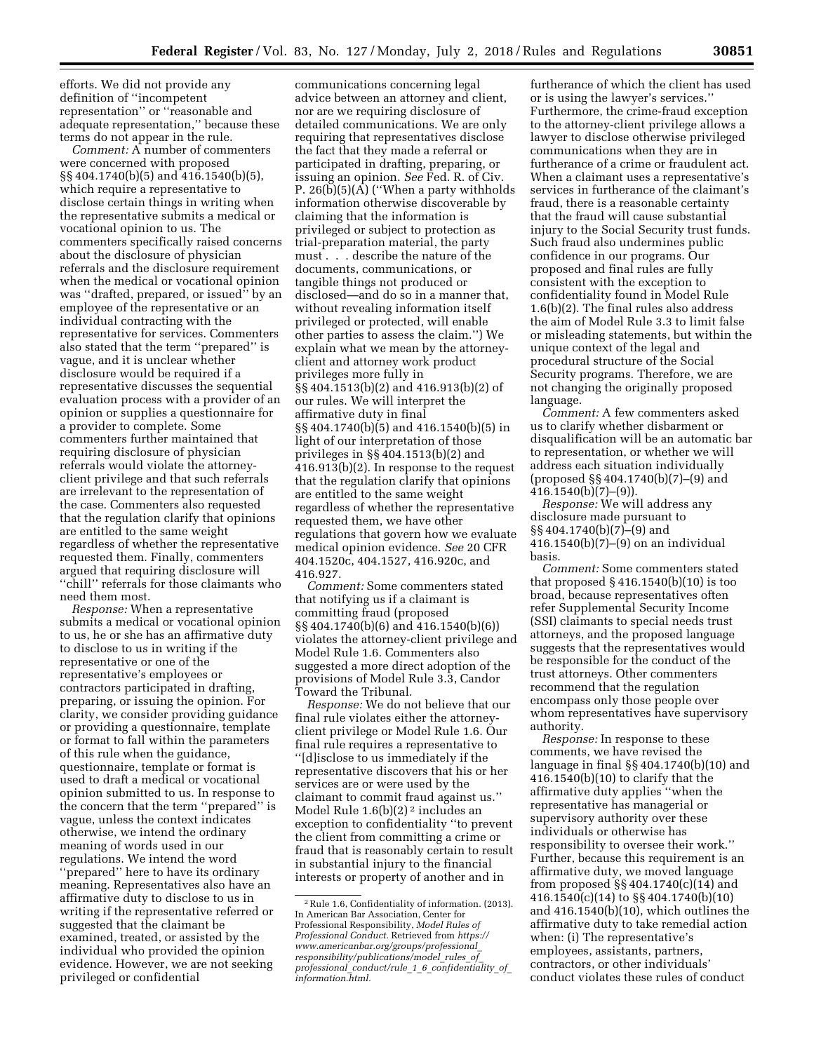efforts. We did not provide any definition of ''incompetent representation'' or ''reasonable and adequate representation,'' because these terms do not appear in the rule.

*Comment:* A number of commenters were concerned with proposed §§ 404.1740(b)(5) and 416.1540(b)(5), which require a representative to disclose certain things in writing when the representative submits a medical or vocational opinion to us. The commenters specifically raised concerns about the disclosure of physician referrals and the disclosure requirement when the medical or vocational opinion was ''drafted, prepared, or issued'' by an employee of the representative or an individual contracting with the representative for services. Commenters also stated that the term ''prepared'' is vague, and it is unclear whether disclosure would be required if a representative discusses the sequential evaluation process with a provider of an opinion or supplies a questionnaire for a provider to complete. Some commenters further maintained that requiring disclosure of physician referrals would violate the attorneyclient privilege and that such referrals are irrelevant to the representation of the case. Commenters also requested that the regulation clarify that opinions are entitled to the same weight regardless of whether the representative requested them. Finally, commenters argued that requiring disclosure will ''chill'' referrals for those claimants who need them most.

*Response:* When a representative submits a medical or vocational opinion to us, he or she has an affirmative duty to disclose to us in writing if the representative or one of the representative's employees or contractors participated in drafting, preparing, or issuing the opinion. For clarity, we consider providing guidance or providing a questionnaire, template or format to fall within the parameters of this rule when the guidance, questionnaire, template or format is used to draft a medical or vocational opinion submitted to us. In response to the concern that the term ''prepared'' is vague, unless the context indicates otherwise, we intend the ordinary meaning of words used in our regulations. We intend the word ''prepared'' here to have its ordinary meaning. Representatives also have an affirmative duty to disclose to us in writing if the representative referred or suggested that the claimant be examined, treated, or assisted by the individual who provided the opinion evidence. However, we are not seeking privileged or confidential

communications concerning legal advice between an attorney and client, nor are we requiring disclosure of detailed communications. We are only requiring that representatives disclose the fact that they made a referral or participated in drafting, preparing, or issuing an opinion. *See* Fed. R. of Civ. P.  $26(b)(5)(\overline{A})$  ("When a party withholds") information otherwise discoverable by claiming that the information is privileged or subject to protection as trial-preparation material, the party must . . . describe the nature of the documents, communications, or tangible things not produced or disclosed—and do so in a manner that, without revealing information itself privileged or protected, will enable other parties to assess the claim.'') We explain what we mean by the attorneyclient and attorney work product privileges more fully in §§ 404.1513(b)(2) and 416.913(b)(2) of our rules. We will interpret the affirmative duty in final §§ 404.1740(b)(5) and 416.1540(b)(5) in light of our interpretation of those privileges in §§ 404.1513(b)(2) and 416.913(b)(2). In response to the request that the regulation clarify that opinions are entitled to the same weight regardless of whether the representative requested them, we have other regulations that govern how we evaluate medical opinion evidence. *See* 20 CFR 404.1520c, 404.1527, 416.920c, and 416.927.

*Comment:* Some commenters stated that notifying us if a claimant is committing fraud (proposed §§ 404.1740(b)(6) and 416.1540(b)(6)) violates the attorney-client privilege and Model Rule 1.6. Commenters also suggested a more direct adoption of the provisions of Model Rule 3.3, Candor Toward the Tribunal.

*Response:* We do not believe that our final rule violates either the attorneyclient privilege or Model Rule 1.6. Our final rule requires a representative to ''[d]isclose to us immediately if the representative discovers that his or her services are or were used by the claimant to commit fraud against us.'' Model Rule 1.6(b)(2) 2 includes an exception to confidentiality ''to prevent the client from committing a crime or fraud that is reasonably certain to result in substantial injury to the financial interests or property of another and in

furtherance of which the client has used or is using the lawyer's services.'' Furthermore, the crime-fraud exception to the attorney-client privilege allows a lawyer to disclose otherwise privileged communications when they are in furtherance of a crime or fraudulent act. When a claimant uses a representative's services in furtherance of the claimant's fraud, there is a reasonable certainty that the fraud will cause substantial injury to the Social Security trust funds. Such fraud also undermines public confidence in our programs. Our proposed and final rules are fully consistent with the exception to confidentiality found in Model Rule 1.6(b)(2). The final rules also address the aim of Model Rule 3.3 to limit false or misleading statements, but within the unique context of the legal and procedural structure of the Social Security programs. Therefore, we are not changing the originally proposed language.

*Comment:* A few commenters asked us to clarify whether disbarment or disqualification will be an automatic bar to representation, or whether we will address each situation individually (proposed §§ 404.1740(b)(7)–(9) and 416.1540(b)(7)–(9)).

*Response:* We will address any disclosure made pursuant to §§ 404.1740(b)(7)–(9) and 416.1540(b)(7)–(9) on an individual basis.

*Comment:* Some commenters stated that proposed  $\S 416.1540(b)(10)$  is too broad, because representatives often refer Supplemental Security Income (SSI) claimants to special needs trust attorneys, and the proposed language suggests that the representatives would be responsible for the conduct of the trust attorneys. Other commenters recommend that the regulation encompass only those people over whom representatives have supervisory authority.

*Response:* In response to these comments, we have revised the language in final §§ 404.1740(b)(10) and 416.1540(b)(10) to clarify that the affirmative duty applies ''when the representative has managerial or supervisory authority over these individuals or otherwise has responsibility to oversee their work.'' Further, because this requirement is an affirmative duty, we moved language from proposed §§ 404.1740(c)(14) and 416.1540(c)(14) to §§ 404.1740(b)(10) and 416.1540(b)(10), which outlines the affirmative duty to take remedial action when: (i) The representative's employees, assistants, partners, contractors, or other individuals' conduct violates these rules of conduct

<sup>2</sup>Rule 1.6, Confidentiality of information. (2013). In American Bar Association, Center for Professional Responsibility, *Model Rules of Professional Conduct.* Retrieved from *[https://](https://www.americanbar.org/groups/professional_responsibility/publications/model_rules_of_professional_conduct/rule_1_6_confidentiality_of_information.html) [www.americanbar.org/groups/professional](https://www.americanbar.org/groups/professional_responsibility/publications/model_rules_of_professional_conduct/rule_1_6_confidentiality_of_information.html)*\_ *[responsibility/publications/model](https://www.americanbar.org/groups/professional_responsibility/publications/model_rules_of_professional_conduct/rule_1_6_confidentiality_of_information.html)*\_*rules*\_*of*\_ *professional*\_*conduct/rule*\_*1*\_*6*\_*[confidentiality](https://www.americanbar.org/groups/professional_responsibility/publications/model_rules_of_professional_conduct/rule_1_6_confidentiality_of_information.html)*\_*of*\_ *[information.html.](https://www.americanbar.org/groups/professional_responsibility/publications/model_rules_of_professional_conduct/rule_1_6_confidentiality_of_information.html)*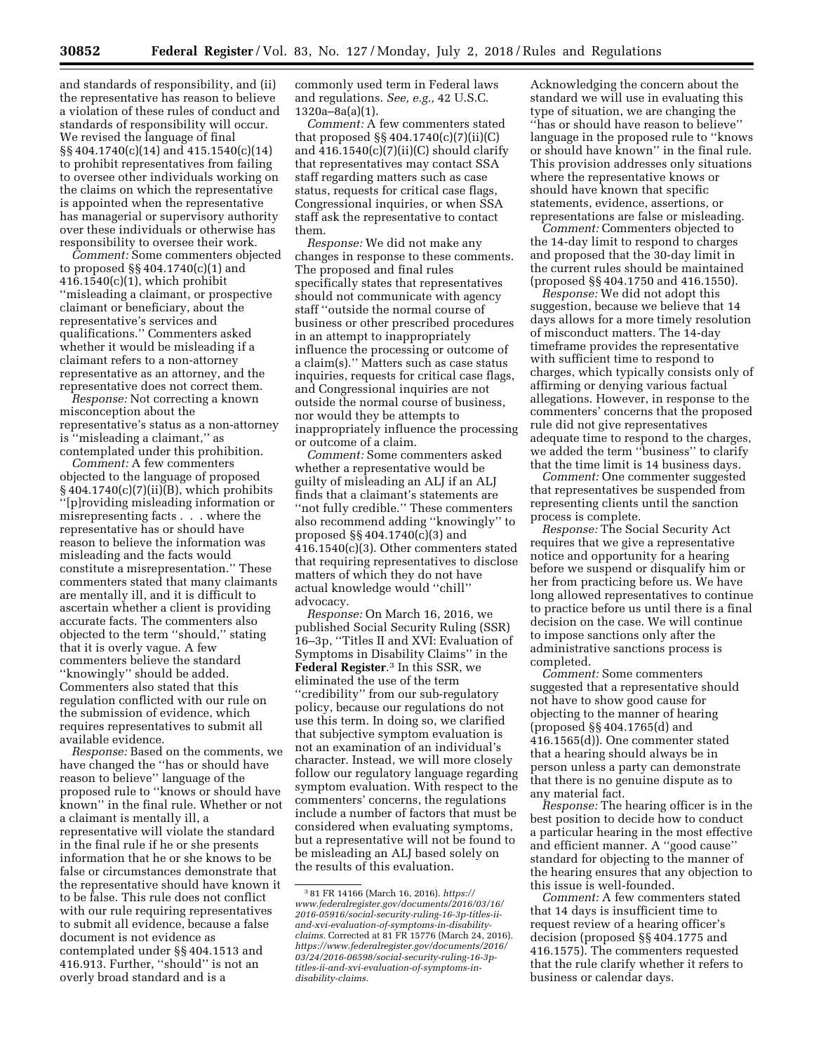and standards of responsibility, and (ii) the representative has reason to believe a violation of these rules of conduct and standards of responsibility will occur. We revised the language of final §§ 404.1740(c)(14) and 415.1540(c)(14) to prohibit representatives from failing to oversee other individuals working on the claims on which the representative is appointed when the representative has managerial or supervisory authority over these individuals or otherwise has responsibility to oversee their work.

*Comment:* Some commenters objected to proposed §§ 404.1740(c)(1) and 416.1540(c)(1), which prohibit ''misleading a claimant, or prospective claimant or beneficiary, about the representative's services and qualifications.'' Commenters asked whether it would be misleading if a claimant refers to a non-attorney representative as an attorney, and the representative does not correct them.

*Response:* Not correcting a known misconception about the representative's status as a non-attorney is ''misleading a claimant,'' as contemplated under this prohibition.

*Comment:* A few commenters objected to the language of proposed § 404.1740(c)(7)(ii)(B), which prohibits ''[p]roviding misleading information or misrepresenting facts . . . where the representative has or should have reason to believe the information was misleading and the facts would constitute a misrepresentation.'' These commenters stated that many claimants are mentally ill, and it is difficult to ascertain whether a client is providing accurate facts. The commenters also objected to the term ''should,'' stating that it is overly vague. A few commenters believe the standard ''knowingly'' should be added. Commenters also stated that this regulation conflicted with our rule on the submission of evidence, which requires representatives to submit all available evidence.

*Response:* Based on the comments, we have changed the ''has or should have reason to believe'' language of the proposed rule to ''knows or should have known'' in the final rule. Whether or not a claimant is mentally ill, a representative will violate the standard in the final rule if he or she presents information that he or she knows to be false or circumstances demonstrate that the representative should have known it to be false. This rule does not conflict with our rule requiring representatives to submit all evidence, because a false document is not evidence as contemplated under §§ 404.1513 and 416.913. Further, ''should'' is not an overly broad standard and is a

commonly used term in Federal laws and regulations. *See, e.g.,* 42 U.S.C. 1320a–8a(a)(1).

*Comment:* A few commenters stated that proposed  $\S § 404.1740(c)(7)(ii)(C)$ and  $416.1540(c)(7)(ii)(C)$  should clarify that representatives may contact SSA staff regarding matters such as case status, requests for critical case flags, Congressional inquiries, or when SSA staff ask the representative to contact them.

*Response:* We did not make any changes in response to these comments. The proposed and final rules specifically states that representatives should not communicate with agency staff ''outside the normal course of business or other prescribed procedures in an attempt to inappropriately influence the processing or outcome of a claim(s).'' Matters such as case status inquiries, requests for critical case flags, and Congressional inquiries are not outside the normal course of business, nor would they be attempts to inappropriately influence the processing or outcome of a claim.

*Comment:* Some commenters asked whether a representative would be guilty of misleading an ALJ if an ALJ finds that a claimant's statements are ''not fully credible.'' These commenters also recommend adding ''knowingly'' to proposed §§ 404.1740(c)(3) and 416.1540(c)(3). Other commenters stated that requiring representatives to disclose matters of which they do not have actual knowledge would ''chill'' advocacy.

*Response:* On March 16, 2016, we published Social Security Ruling (SSR) 16–3p, ''Titles II and XVI: Evaluation of Symptoms in Disability Claims'' in the **Federal Register**.3 In this SSR, we eliminated the use of the term ''credibility'' from our sub-regulatory policy, because our regulations do not use this term. In doing so, we clarified that subjective symptom evaluation is not an examination of an individual's character. Instead, we will more closely follow our regulatory language regarding symptom evaluation. With respect to the commenters' concerns, the regulations include a number of factors that must be considered when evaluating symptoms, but a representative will not be found to be misleading an ALJ based solely on the results of this evaluation.

Acknowledging the concern about the standard we will use in evaluating this type of situation, we are changing the ''has or should have reason to believe'' language in the proposed rule to ''knows or should have known'' in the final rule. This provision addresses only situations where the representative knows or should have known that specific statements, evidence, assertions, or representations are false or misleading.

*Comment:* Commenters objected to the 14-day limit to respond to charges and proposed that the 30-day limit in the current rules should be maintained (proposed §§ 404.1750 and 416.1550).

*Response:* We did not adopt this suggestion, because we believe that 14 days allows for a more timely resolution of misconduct matters. The 14-day timeframe provides the representative with sufficient time to respond to charges, which typically consists only of affirming or denying various factual allegations. However, in response to the commenters' concerns that the proposed rule did not give representatives adequate time to respond to the charges, we added the term ''business'' to clarify that the time limit is 14 business days.

*Comment:* One commenter suggested that representatives be suspended from representing clients until the sanction process is complete.

*Response:* The Social Security Act requires that we give a representative notice and opportunity for a hearing before we suspend or disqualify him or her from practicing before us. We have long allowed representatives to continue to practice before us until there is a final decision on the case. We will continue to impose sanctions only after the administrative sanctions process is completed.

*Comment:* Some commenters suggested that a representative should not have to show good cause for objecting to the manner of hearing (proposed §§ 404.1765(d) and 416.1565(d)). One commenter stated that a hearing should always be in person unless a party can demonstrate that there is no genuine dispute as to any material fact.

*Response:* The hearing officer is in the best position to decide how to conduct a particular hearing in the most effective and efficient manner. A ''good cause'' standard for objecting to the manner of the hearing ensures that any objection to this issue is well-founded.

*Comment:* A few commenters stated that 14 days is insufficient time to request review of a hearing officer's decision (proposed §§ 404.1775 and 416.1575). The commenters requested that the rule clarify whether it refers to business or calendar days.

<sup>3</sup> 81 FR 14166 (March 16, 2016). *https:// [www.federalregister.gov/documents/2016/03/16/](https://www.federalregister.gov/documents/2016/03/16/2016-05916/social-security-ruling-16-3p-titles-ii-and-xvi-evaluation-of-symptoms-in-disability-claims)  [2016-05916/social-security-ruling-16-3p-titles-ii](https://www.federalregister.gov/documents/2016/03/16/2016-05916/social-security-ruling-16-3p-titles-ii-and-xvi-evaluation-of-symptoms-in-disability-claims)[and-xvi-evaluation-of-symptoms-in-disability](https://www.federalregister.gov/documents/2016/03/16/2016-05916/social-security-ruling-16-3p-titles-ii-and-xvi-evaluation-of-symptoms-in-disability-claims)[claims.](https://www.federalregister.gov/documents/2016/03/16/2016-05916/social-security-ruling-16-3p-titles-ii-and-xvi-evaluation-of-symptoms-in-disability-claims)* Corrected at 81 FR 15776 (March 24, 2016). *[https://www.federalregister.gov/documents/2016/](https://www.federalregister.gov/documents/2016/03/24/2016-06598/social-security-ruling-16-3p-titles-ii-and-xvi-evaluation-of-symptoms-in-disability-claims)  [03/24/2016-06598/social-security-ruling-16-3p](https://www.federalregister.gov/documents/2016/03/24/2016-06598/social-security-ruling-16-3p-titles-ii-and-xvi-evaluation-of-symptoms-in-disability-claims)[titles-ii-and-xvi-evaluation-of-symptoms-in](https://www.federalregister.gov/documents/2016/03/24/2016-06598/social-security-ruling-16-3p-titles-ii-and-xvi-evaluation-of-symptoms-in-disability-claims)[disability-claims.](https://www.federalregister.gov/documents/2016/03/24/2016-06598/social-security-ruling-16-3p-titles-ii-and-xvi-evaluation-of-symptoms-in-disability-claims)*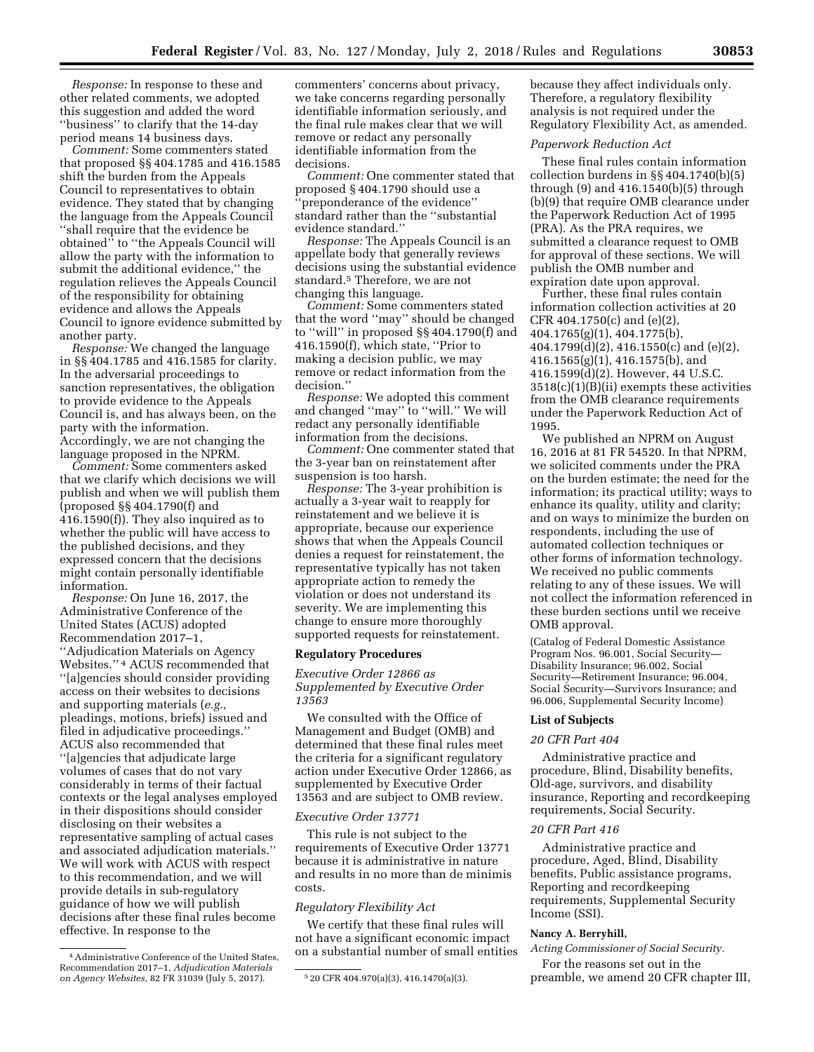*Response:* In response to these and other related comments, we adopted this suggestion and added the word ''business'' to clarify that the 14-day period means 14 business days.

*Comment:* Some commenters stated that proposed §§ 404.1785 and 416.1585 shift the burden from the Appeals Council to representatives to obtain evidence. They stated that by changing the language from the Appeals Council ''shall require that the evidence be obtained'' to ''the Appeals Council will allow the party with the information to submit the additional evidence,'' the regulation relieves the Appeals Council of the responsibility for obtaining evidence and allows the Appeals Council to ignore evidence submitted by another party.

*Response:* We changed the language in §§ 404.1785 and 416.1585 for clarity. In the adversarial proceedings to sanction representatives, the obligation to provide evidence to the Appeals Council is, and has always been, on the party with the information. Accordingly, we are not changing the language proposed in the NPRM.

*Comment:* Some commenters asked that we clarify which decisions we will publish and when we will publish them (proposed §§ 404.1790(f) and 416.1590(f)). They also inquired as to whether the public will have access to the published decisions, and they expressed concern that the decisions might contain personally identifiable information.

*Response:* On June 16, 2017, the Administrative Conference of the United States (ACUS) adopted Recommendation 2017–1, ''Adjudication Materials on Agency Websites.'' 4 ACUS recommended that ''[a]gencies should consider providing access on their websites to decisions and supporting materials (*e.g.,*  pleadings, motions, briefs) issued and filed in adjudicative proceedings.'' ACUS also recommended that ''[a]gencies that adjudicate large volumes of cases that do not vary considerably in terms of their factual contexts or the legal analyses employed in their dispositions should consider disclosing on their websites a representative sampling of actual cases and associated adjudication materials.'' We will work with ACUS with respect to this recommendation, and we will provide details in sub-regulatory guidance of how we will publish decisions after these final rules become effective. In response to the

commenters' concerns about privacy, we take concerns regarding personally identifiable information seriously, and the final rule makes clear that we will remove or redact any personally identifiable information from the decisions.

*Comment:* One commenter stated that proposed § 404.1790 should use a ''preponderance of the evidence'' standard rather than the ''substantial evidence standard.''

*Response:* The Appeals Council is an appellate body that generally reviews decisions using the substantial evidence standard.5 Therefore, we are not changing this language.

*Comment:* Some commenters stated that the word ''may'' should be changed to ''will'' in proposed §§ 404.1790(f) and 416.1590(f), which state, ''Prior to making a decision public, we may remove or redact information from the decision.''

*Response:* We adopted this comment and changed ''may'' to ''will.'' We will redact any personally identifiable information from the decisions.

*Comment:* One commenter stated that the 3-year ban on reinstatement after suspension is too harsh.

*Response:* The 3-year prohibition is actually a 3-year wait to reapply for reinstatement and we believe it is appropriate, because our experience shows that when the Appeals Council denies a request for reinstatement, the representative typically has not taken appropriate action to remedy the violation or does not understand its severity. We are implementing this change to ensure more thoroughly supported requests for reinstatement.

## **Regulatory Procedures**

## *Executive Order 12866 as Supplemented by Executive Order 13563*

We consulted with the Office of Management and Budget (OMB) and determined that these final rules meet the criteria for a significant regulatory action under Executive Order 12866, as supplemented by Executive Order 13563 and are subject to OMB review.

### *Executive Order 13771*

This rule is not subject to the requirements of Executive Order 13771 because it is administrative in nature and results in no more than de minimis costs.

### *Regulatory Flexibility Act*

We certify that these final rules will not have a significant economic impact on a substantial number of small entities because they affect individuals only. Therefore, a regulatory flexibility analysis is not required under the Regulatory Flexibility Act, as amended.

### *Paperwork Reduction Act*

These final rules contain information collection burdens in §§ 404.1740(b)(5) through (9) and 416.1540(b)(5) through (b)(9) that require OMB clearance under the Paperwork Reduction Act of 1995 (PRA). As the PRA requires, we submitted a clearance request to OMB for approval of these sections. We will publish the OMB number and expiration date upon approval.

Further, these final rules contain information collection activities at 20 CFR 404.1750(c) and (e)(2), 404.1765(g)(1), 404.1775(b), 404.1799(d)(2), 416.1550(c) and (e)(2), 416.1565(g)(1), 416.1575(b), and 416.1599(d)(2). However, 44 U.S.C. 3518(c)(1)(B)(ii) exempts these activities from the OMB clearance requirements under the Paperwork Reduction Act of 1995.

We published an NPRM on August 16, 2016 at 81 FR 54520. In that NPRM, we solicited comments under the PRA on the burden estimate; the need for the information; its practical utility; ways to enhance its quality, utility and clarity; and on ways to minimize the burden on respondents, including the use of automated collection techniques or other forms of information technology. We received no public comments relating to any of these issues. We will not collect the information referenced in these burden sections until we receive OMB approval.

(Catalog of Federal Domestic Assistance Program Nos. 96.001, Social Security— Disability Insurance; 96.002, Social Security—Retirement Insurance; 96.004, Social Security—Survivors Insurance; and 96.006, Supplemental Security Income)

### **List of Subjects**

#### *20 CFR Part 404*

Administrative practice and procedure, Blind, Disability benefits, Old-age, survivors, and disability insurance, Reporting and recordkeeping requirements, Social Security.

### *20 CFR Part 416*

Administrative practice and procedure, Aged, Blind, Disability benefits, Public assistance programs, Reporting and recordkeeping requirements, Supplemental Security Income (SSI).

#### **Nancy A. Berryhill,**

*Acting Commissioner of Social Security.* 

For the reasons set out in the preamble, we amend 20 CFR chapter III,

<sup>4</sup>Administrative Conference of the United States, Recommendation 2017–1, *Adjudication Materials on Agency Websites,* 82 FR 31039 (July 5, 2017). 5 20 CFR 404.970(a)(3), 416.1470(a)(3).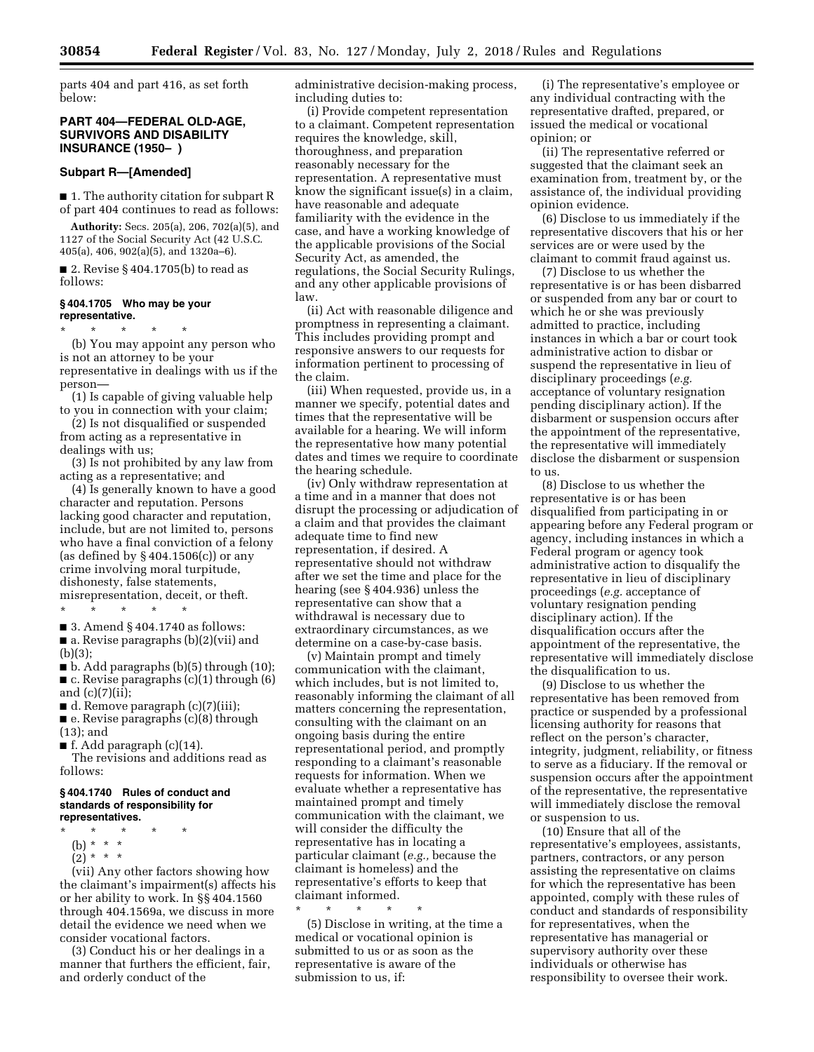parts 404 and part 416, as set forth below:

## **PART 404—FEDERAL OLD-AGE, SURVIVORS AND DISABILITY INSURANCE (1950– )**

## **Subpart R—[Amended]**

■ 1. The authority citation for subpart R of part 404 continues to read as follows:

**Authority:** Secs. 205(a), 206, 702(a)(5), and 1127 of the Social Security Act (42 U.S.C. 405(a), 406, 902(a)(5), and 1320a–6).

■ 2. Revise § 404.1705(b) to read as follows:

### **§ 404.1705 Who may be your representative.**

\* \* \* \* \*

(b) You may appoint any person who is not an attorney to be your representative in dealings with us if the

person— (1) Is capable of giving valuable help to you in connection with your claim;

(2) Is not disqualified or suspended from acting as a representative in

dealings with us; (3) Is not prohibited by any law from acting as a representative; and

(4) Is generally known to have a good character and reputation. Persons lacking good character and reputation, include, but are not limited to, persons who have a final conviction of a felony (as defined by § 404.1506(c)) or any crime involving moral turpitude, dishonesty, false statements,

misrepresentation, deceit, or theft. \* \* \* \* \*

■ 3. Amend § 404.1740 as follows: ■ a. Revise paragraphs (b)(2)(vii) and (b)(3);

 $\blacksquare$  b. Add paragraphs (b)(5) through (10); ■ c. Revise paragraphs (c)(1) through (6) and  $(c)(7)(ii)$ ;

■ d. Remove paragraph (c)(7)(iii);

■ e. Revise paragraphs (c)(8) through (13); and

■ f. Add paragraph  $(c)(14)$ .

The revisions and additions read as follows:

### **§ 404.1740 Rules of conduct and standards of responsibility for representatives.**

\* \* \* \* \*

(b) \* \* \*

 $(2) * * * *$ 

(vii) Any other factors showing how the claimant's impairment(s) affects his or her ability to work. In §§ 404.1560 through 404.1569a, we discuss in more detail the evidence we need when we consider vocational factors.

(3) Conduct his or her dealings in a manner that furthers the efficient, fair, and orderly conduct of the

administrative decision-making process, including duties to:

(i) Provide competent representation to a claimant. Competent representation requires the knowledge, skill, thoroughness, and preparation reasonably necessary for the representation. A representative must know the significant issue(s) in a claim, have reasonable and adequate familiarity with the evidence in the case, and have a working knowledge of the applicable provisions of the Social Security Act, as amended, the regulations, the Social Security Rulings, and any other applicable provisions of law.

(ii) Act with reasonable diligence and promptness in representing a claimant. This includes providing prompt and responsive answers to our requests for information pertinent to processing of the claim.

(iii) When requested, provide us, in a manner we specify, potential dates and times that the representative will be available for a hearing. We will inform the representative how many potential dates and times we require to coordinate the hearing schedule.

(iv) Only withdraw representation at a time and in a manner that does not disrupt the processing or adjudication of a claim and that provides the claimant adequate time to find new representation, if desired. A representative should not withdraw after we set the time and place for the hearing (see § 404.936) unless the representative can show that a withdrawal is necessary due to extraordinary circumstances, as we determine on a case-by-case basis.

(v) Maintain prompt and timely communication with the claimant, which includes, but is not limited to, reasonably informing the claimant of all matters concerning the representation, consulting with the claimant on an ongoing basis during the entire representational period, and promptly responding to a claimant's reasonable requests for information. When we evaluate whether a representative has maintained prompt and timely communication with the claimant, we will consider the difficulty the representative has in locating a particular claimant (*e.g.,* because the claimant is homeless) and the representative's efforts to keep that claimant informed.

\* \* \* \* \*

(5) Disclose in writing, at the time a medical or vocational opinion is submitted to us or as soon as the representative is aware of the submission to us, if:

(i) The representative's employee or any individual contracting with the representative drafted, prepared, or issued the medical or vocational opinion; or

(ii) The representative referred or suggested that the claimant seek an examination from, treatment by, or the assistance of, the individual providing opinion evidence.

(6) Disclose to us immediately if the representative discovers that his or her services are or were used by the claimant to commit fraud against us.

(7) Disclose to us whether the representative is or has been disbarred or suspended from any bar or court to which he or she was previously admitted to practice, including instances in which a bar or court took administrative action to disbar or suspend the representative in lieu of disciplinary proceedings (*e.g.*  acceptance of voluntary resignation pending disciplinary action). If the disbarment or suspension occurs after the appointment of the representative, the representative will immediately disclose the disbarment or suspension to us.

(8) Disclose to us whether the representative is or has been disqualified from participating in or appearing before any Federal program or agency, including instances in which a Federal program or agency took administrative action to disqualify the representative in lieu of disciplinary proceedings (*e.g.* acceptance of voluntary resignation pending disciplinary action). If the disqualification occurs after the appointment of the representative, the representative will immediately disclose the disqualification to us.

(9) Disclose to us whether the representative has been removed from practice or suspended by a professional licensing authority for reasons that reflect on the person's character, integrity, judgment, reliability, or fitness to serve as a fiduciary. If the removal or suspension occurs after the appointment of the representative, the representative will immediately disclose the removal or suspension to us.

(10) Ensure that all of the representative's employees, assistants, partners, contractors, or any person assisting the representative on claims for which the representative has been appointed, comply with these rules of conduct and standards of responsibility for representatives, when the representative has managerial or supervisory authority over these individuals or otherwise has responsibility to oversee their work.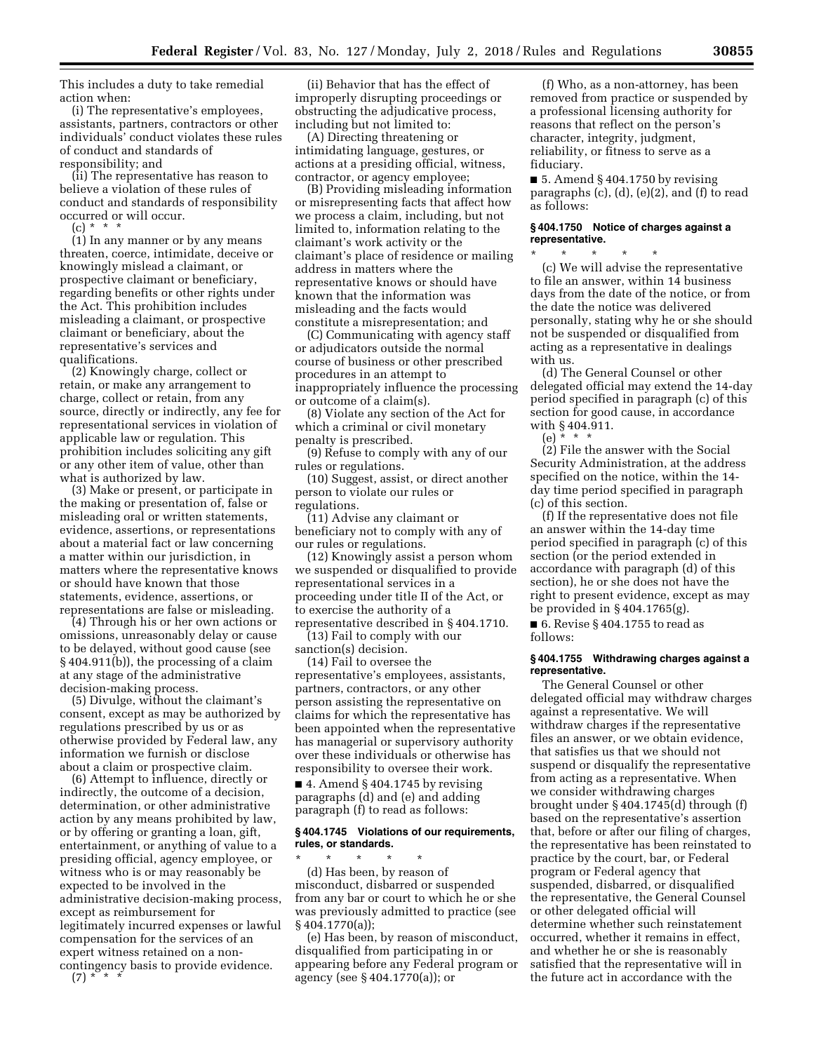This includes a duty to take remedial action when:

(i) The representative's employees, assistants, partners, contractors or other individuals' conduct violates these rules of conduct and standards of responsibility; and

(ii) The representative has reason to believe a violation of these rules of conduct and standards of responsibility occurred or will occur.

 $(c) * * * *$ 

(1) In any manner or by any means threaten, coerce, intimidate, deceive or knowingly mislead a claimant, or prospective claimant or beneficiary, regarding benefits or other rights under the Act. This prohibition includes misleading a claimant, or prospective claimant or beneficiary, about the representative's services and qualifications.

(2) Knowingly charge, collect or retain, or make any arrangement to charge, collect or retain, from any source, directly or indirectly, any fee for representational services in violation of applicable law or regulation. This prohibition includes soliciting any gift or any other item of value, other than what is authorized by law.

(3) Make or present, or participate in the making or presentation of, false or misleading oral or written statements, evidence, assertions, or representations about a material fact or law concerning a matter within our jurisdiction, in matters where the representative knows or should have known that those statements, evidence, assertions, or representations are false or misleading.

(4) Through his or her own actions or omissions, unreasonably delay or cause to be delayed, without good cause (see § 404.911(b)), the processing of a claim at any stage of the administrative decision-making process.

(5) Divulge, without the claimant's consent, except as may be authorized by regulations prescribed by us or as otherwise provided by Federal law, any information we furnish or disclose about a claim or prospective claim.

(6) Attempt to influence, directly or indirectly, the outcome of a decision, determination, or other administrative action by any means prohibited by law, or by offering or granting a loan, gift, entertainment, or anything of value to a presiding official, agency employee, or witness who is or may reasonably be expected to be involved in the administrative decision-making process, except as reimbursement for legitimately incurred expenses or lawful compensation for the services of an expert witness retained on a noncontingency basis to provide evidence.  $(7) *$ 

(ii) Behavior that has the effect of improperly disrupting proceedings or obstructing the adjudicative process, including but not limited to:

(A) Directing threatening or intimidating language, gestures, or actions at a presiding official, witness, contractor, or agency employee;

(B) Providing misleading information or misrepresenting facts that affect how we process a claim, including, but not limited to, information relating to the claimant's work activity or the claimant's place of residence or mailing address in matters where the representative knows or should have known that the information was misleading and the facts would constitute a misrepresentation; and

(C) Communicating with agency staff or adjudicators outside the normal course of business or other prescribed procedures in an attempt to inappropriately influence the processing or outcome of a claim(s).

(8) Violate any section of the Act for which a criminal or civil monetary penalty is prescribed.

(9) Refuse to comply with any of our rules or regulations.

(10) Suggest, assist, or direct another person to violate our rules or regulations.

(11) Advise any claimant or beneficiary not to comply with any of our rules or regulations.

(12) Knowingly assist a person whom we suspended or disqualified to provide representational services in a proceeding under title II of the Act, or to exercise the authority of a representative described in § 404.1710.

(13) Fail to comply with our sanction(s) decision.

(14) Fail to oversee the

representative's employees, assistants, partners, contractors, or any other person assisting the representative on claims for which the representative has been appointed when the representative has managerial or supervisory authority over these individuals or otherwise has responsibility to oversee their work.

■ 4. Amend § 404.1745 by revising paragraphs (d) and (e) and adding paragraph (f) to read as follows:

## **§ 404.1745 Violations of our requirements, rules, or standards.**

\* \* \* \* \* (d) Has been, by reason of misconduct, disbarred or suspended from any bar or court to which he or she was previously admitted to practice (see § 404.1770(a));

(e) Has been, by reason of misconduct, disqualified from participating in or appearing before any Federal program or agency (see § 404.1770(a)); or

(f) Who, as a non-attorney, has been removed from practice or suspended by a professional licensing authority for reasons that reflect on the person's character, integrity, judgment, reliability, or fitness to serve as a fiduciary.

 $\blacksquare$  5. Amend § 404.1750 by revising paragraphs (c), (d), (e)(2), and (f) to read as follows:

## **§ 404.1750 Notice of charges against a representative.**

\* \* \* \* \* (c) We will advise the representative to file an answer, within 14 business days from the date of the notice, or from the date the notice was delivered personally, stating why he or she should not be suspended or disqualified from acting as a representative in dealings with us.

(d) The General Counsel or other delegated official may extend the 14-day period specified in paragraph (c) of this section for good cause, in accordance with § 404.911.

(e) \* \* \*

(2) File the answer with the Social Security Administration, at the address specified on the notice, within the 14 day time period specified in paragraph (c) of this section.

(f) If the representative does not file an answer within the 14-day time period specified in paragraph (c) of this section (or the period extended in accordance with paragraph (d) of this section), he or she does not have the right to present evidence, except as may be provided in § 404.1765(g).

■ 6. Revise § 404.1755 to read as follows:

### **§ 404.1755 Withdrawing charges against a representative.**

The General Counsel or other delegated official may withdraw charges against a representative. We will withdraw charges if the representative files an answer, or we obtain evidence, that satisfies us that we should not suspend or disqualify the representative from acting as a representative. When we consider withdrawing charges brought under § 404.1745(d) through (f) based on the representative's assertion that, before or after our filing of charges, the representative has been reinstated to practice by the court, bar, or Federal program or Federal agency that suspended, disbarred, or disqualified the representative, the General Counsel or other delegated official will determine whether such reinstatement occurred, whether it remains in effect, and whether he or she is reasonably satisfied that the representative will in the future act in accordance with the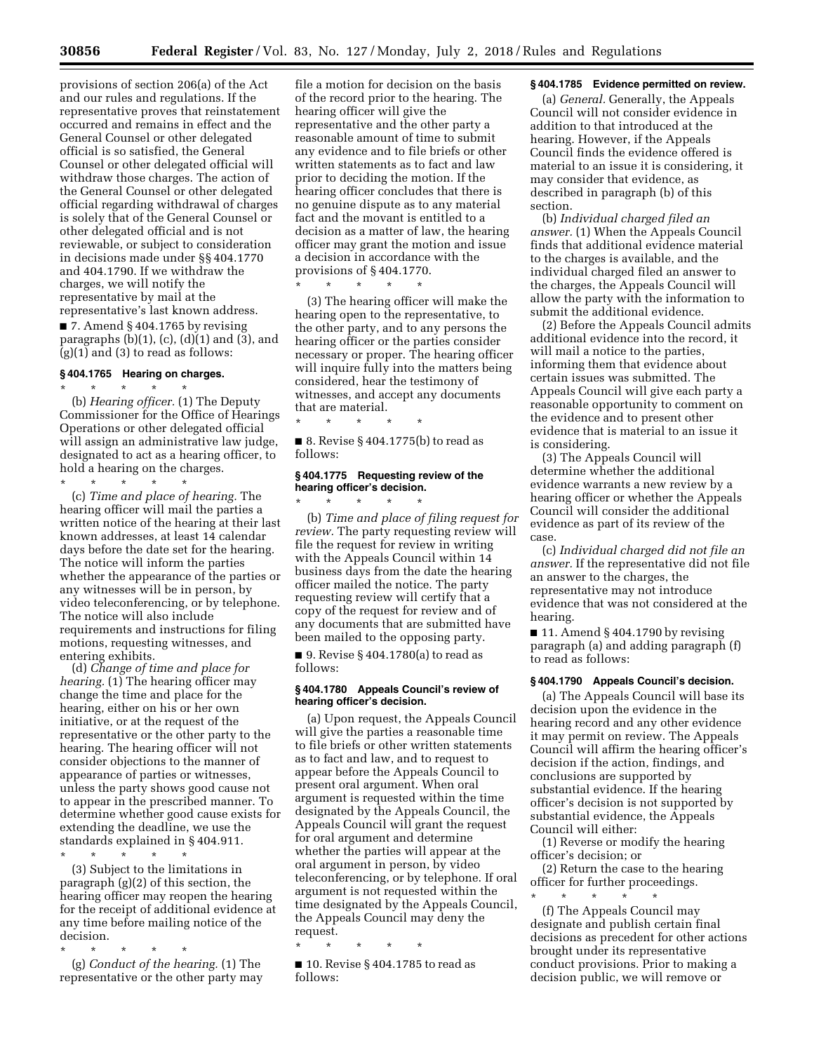provisions of section 206(a) of the Act and our rules and regulations. If the representative proves that reinstatement occurred and remains in effect and the General Counsel or other delegated official is so satisfied, the General Counsel or other delegated official will withdraw those charges. The action of the General Counsel or other delegated official regarding withdrawal of charges is solely that of the General Counsel or other delegated official and is not reviewable, or subject to consideration in decisions made under §§ 404.1770 and 404.1790. If we withdraw the charges, we will notify the representative by mail at the representative's last known address.  $\blacksquare$  7. Amend § 404.1765 by revising

paragraphs  $(b)(1)$ ,  $(c)$ ,  $(d)(1)$  and  $(3)$ , and (g)(1) and (3) to read as follows:

## **§ 404.1765 Hearing on charges.**

\* \* \* \* \* (b) *Hearing officer.* (1) The Deputy Commissioner for the Office of Hearings Operations or other delegated official will assign an administrative law judge, designated to act as a hearing officer, to hold a hearing on the charges. \* \* \* \* \*

(c) *Time and place of hearing.* The hearing officer will mail the parties a written notice of the hearing at their last known addresses, at least 14 calendar days before the date set for the hearing. The notice will inform the parties whether the appearance of the parties or any witnesses will be in person, by video teleconferencing, or by telephone. The notice will also include requirements and instructions for filing motions, requesting witnesses, and entering exhibits.

(d) *Change of time and place for hearing.* (1) The hearing officer may change the time and place for the hearing, either on his or her own initiative, or at the request of the representative or the other party to the hearing. The hearing officer will not consider objections to the manner of appearance of parties or witnesses, unless the party shows good cause not to appear in the prescribed manner. To determine whether good cause exists for extending the deadline, we use the standards explained in § 404.911.

\* \* \* \* \* (3) Subject to the limitations in paragraph (g)(2) of this section, the hearing officer may reopen the hearing for the receipt of additional evidence at any time before mailing notice of the decision.

\* \* \* \* \* (g) *Conduct of the hearing.* (1) The representative or the other party may

file a motion for decision on the basis of the record prior to the hearing. The hearing officer will give the representative and the other party a reasonable amount of time to submit any evidence and to file briefs or other written statements as to fact and law prior to deciding the motion. If the hearing officer concludes that there is no genuine dispute as to any material fact and the movant is entitled to a decision as a matter of law, the hearing officer may grant the motion and issue a decision in accordance with the provisions of § 404.1770. \* \* \* \* \*

(3) The hearing officer will make the hearing open to the representative, to the other party, and to any persons the hearing officer or the parties consider necessary or proper. The hearing officer will inquire fully into the matters being considered, hear the testimony of witnesses, and accept any documents that are material.

\* \* \* \* \* ■ 8. Revise § 404.1775(b) to read as follows:

## **§ 404.1775 Requesting review of the hearing officer's decision.**

\* \* \* \* \* (b) *Time and place of filing request for review.* The party requesting review will file the request for review in writing with the Appeals Council within 14 business days from the date the hearing officer mailed the notice. The party requesting review will certify that a copy of the request for review and of any documents that are submitted have been mailed to the opposing party.

 $\blacksquare$  9. Revise § 404.1780(a) to read as follows:

### **§ 404.1780 Appeals Council's review of hearing officer's decision.**

(a) Upon request, the Appeals Council will give the parties a reasonable time to file briefs or other written statements as to fact and law, and to request to appear before the Appeals Council to present oral argument. When oral argument is requested within the time designated by the Appeals Council, the Appeals Council will grant the request for oral argument and determine whether the parties will appear at the oral argument in person, by video teleconferencing, or by telephone. If oral argument is not requested within the time designated by the Appeals Council, the Appeals Council may deny the request.

\* \* \* \* \*

■ 10. Revise § 404.1785 to read as follows:

### **§ 404.1785 Evidence permitted on review.**

(a) *General.* Generally, the Appeals Council will not consider evidence in addition to that introduced at the hearing. However, if the Appeals Council finds the evidence offered is material to an issue it is considering, it may consider that evidence, as described in paragraph (b) of this section.

(b) *Individual charged filed an answer.* (1) When the Appeals Council finds that additional evidence material to the charges is available, and the individual charged filed an answer to the charges, the Appeals Council will allow the party with the information to submit the additional evidence.

(2) Before the Appeals Council admits additional evidence into the record, it will mail a notice to the parties, informing them that evidence about certain issues was submitted. The Appeals Council will give each party a reasonable opportunity to comment on the evidence and to present other evidence that is material to an issue it is considering.

(3) The Appeals Council will determine whether the additional evidence warrants a new review by a hearing officer or whether the Appeals Council will consider the additional evidence as part of its review of the case.

(c) *Individual charged did not file an answer.* If the representative did not file an answer to the charges, the representative may not introduce evidence that was not considered at the hearing.

 $\blacksquare$  11. Amend § 404.1790 by revising paragraph (a) and adding paragraph (f) to read as follows:

## **§ 404.1790 Appeals Council's decision.**

(a) The Appeals Council will base its decision upon the evidence in the hearing record and any other evidence it may permit on review. The Appeals Council will affirm the hearing officer's decision if the action, findings, and conclusions are supported by substantial evidence. If the hearing officer's decision is not supported by substantial evidence, the Appeals Council will either:

(1) Reverse or modify the hearing officer's decision; or

(2) Return the case to the hearing officer for further proceedings.

\* \* \* \* \* (f) The Appeals Council may designate and publish certain final decisions as precedent for other actions brought under its representative conduct provisions. Prior to making a decision public, we will remove or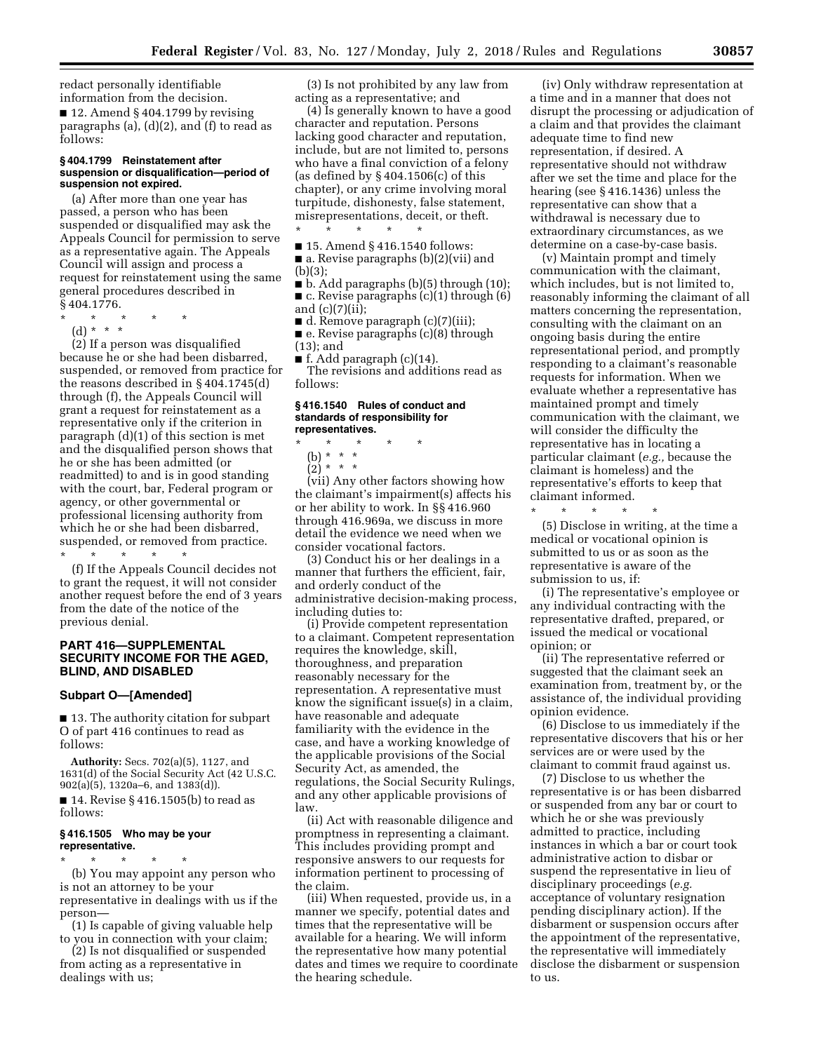redact personally identifiable information from the decision.  $\blacksquare$  12. Amend § 404.1799 by revising paragraphs (a), (d)(2), and (f) to read as follows:

### **§ 404.1799 Reinstatement after suspension or disqualification—period of suspension not expired.**

(a) After more than one year has passed, a person who has been suspended or disqualified may ask the Appeals Council for permission to serve as a representative again. The Appeals Council will assign and process a request for reinstatement using the same general procedures described in § 404.1776.

- \* \* \* \* \*
- (d) \* \* \*

(2) If a person was disqualified because he or she had been disbarred, suspended, or removed from practice for the reasons described in § 404.1745(d) through (f), the Appeals Council will grant a request for reinstatement as a representative only if the criterion in paragraph (d)(1) of this section is met and the disqualified person shows that he or she has been admitted (or readmitted) to and is in good standing with the court, bar, Federal program or agency, or other governmental or professional licensing authority from which he or she had been disbarred, suspended, or removed from practice.

\* \* \* \* \*

(f) If the Appeals Council decides not to grant the request, it will not consider another request before the end of 3 years from the date of the notice of the previous denial.

## **PART 416—SUPPLEMENTAL SECURITY INCOME FOR THE AGED, BLIND, AND DISABLED**

### **Subpart O—[Amended]**

■ 13. The authority citation for subpart O of part 416 continues to read as follows:

**Authority:** Secs. 702(a)(5), 1127, and 1631(d) of the Social Security Act (42 U.S.C. 902(a)(5), 1320a–6, and 1383(d)).

■ 14. Revise § 416.1505(b) to read as follows:

### **§ 416.1505 Who may be your representative.**

\* \* \* \* \* (b) You may appoint any person who is not an attorney to be your

representative in dealings with us if the person—

(1) Is capable of giving valuable help to you in connection with your claim;

(2) Is not disqualified or suspended from acting as a representative in dealings with us;

(3) Is not prohibited by any law from acting as a representative; and

(4) Is generally known to have a good character and reputation. Persons lacking good character and reputation, include, but are not limited to, persons who have a final conviction of a felony (as defined by § 404.1506(c) of this chapter), or any crime involving moral turpitude, dishonesty, false statement, misrepresentations, deceit, or theft.

\* \* \* \* \* ■ 15. Amend § 416.1540 follows: ■ a. Revise paragraphs (b)(2)(vii) and

(b)(3);

■ b. Add paragraphs (b)(5) through (10);  $\blacksquare$  c. Revise paragraphs (c)(1) through (6) and  $(c)(7)(ii)$ ;

■ d. Remove paragraph (c)(7)(iii);

■ e. Revise paragraphs (c)(8) through (13); and

■ f. Add paragraph (c)(14).

The revisions and additions read as follows:

### **§ 416.1540 Rules of conduct and standards of responsibility for representatives.**

\* \* \* \* \*

(b) \* \* \*

 $(2)^* * * *$ 

(vii) Any other factors showing how the claimant's impairment(s) affects his or her ability to work. In §§ 416.960 through 416.969a, we discuss in more detail the evidence we need when we consider vocational factors.

(3) Conduct his or her dealings in a manner that furthers the efficient, fair, and orderly conduct of the administrative decision-making process, including duties to:

(i) Provide competent representation to a claimant. Competent representation requires the knowledge, skill, thoroughness, and preparation reasonably necessary for the representation. A representative must know the significant issue(s) in a claim, have reasonable and adequate familiarity with the evidence in the case, and have a working knowledge of the applicable provisions of the Social Security Act, as amended, the regulations, the Social Security Rulings, and any other applicable provisions of law.

(ii) Act with reasonable diligence and promptness in representing a claimant. This includes providing prompt and responsive answers to our requests for information pertinent to processing of the claim.

(iii) When requested, provide us, in a manner we specify, potential dates and times that the representative will be available for a hearing. We will inform the representative how many potential dates and times we require to coordinate the hearing schedule.

(iv) Only withdraw representation at a time and in a manner that does not disrupt the processing or adjudication of a claim and that provides the claimant adequate time to find new representation, if desired. A representative should not withdraw after we set the time and place for the hearing (see § 416.1436) unless the representative can show that a withdrawal is necessary due to extraordinary circumstances, as we determine on a case-by-case basis.

(v) Maintain prompt and timely communication with the claimant, which includes, but is not limited to, reasonably informing the claimant of all matters concerning the representation, consulting with the claimant on an ongoing basis during the entire representational period, and promptly responding to a claimant's reasonable requests for information. When we evaluate whether a representative has maintained prompt and timely communication with the claimant, we will consider the difficulty the representative has in locating a particular claimant (*e.g.,* because the claimant is homeless) and the representative's efforts to keep that claimant informed.

\* \* \* \* \*

(5) Disclose in writing, at the time a medical or vocational opinion is submitted to us or as soon as the representative is aware of the submission to us, if:

(i) The representative's employee or any individual contracting with the representative drafted, prepared, or issued the medical or vocational opinion; or

(ii) The representative referred or suggested that the claimant seek an examination from, treatment by, or the assistance of, the individual providing opinion evidence.

(6) Disclose to us immediately if the representative discovers that his or her services are or were used by the claimant to commit fraud against us.

(7) Disclose to us whether the representative is or has been disbarred or suspended from any bar or court to which he or she was previously admitted to practice, including instances in which a bar or court took administrative action to disbar or suspend the representative in lieu of disciplinary proceedings (*e.g.*  acceptance of voluntary resignation pending disciplinary action). If the disbarment or suspension occurs after the appointment of the representative, the representative will immediately disclose the disbarment or suspension to us.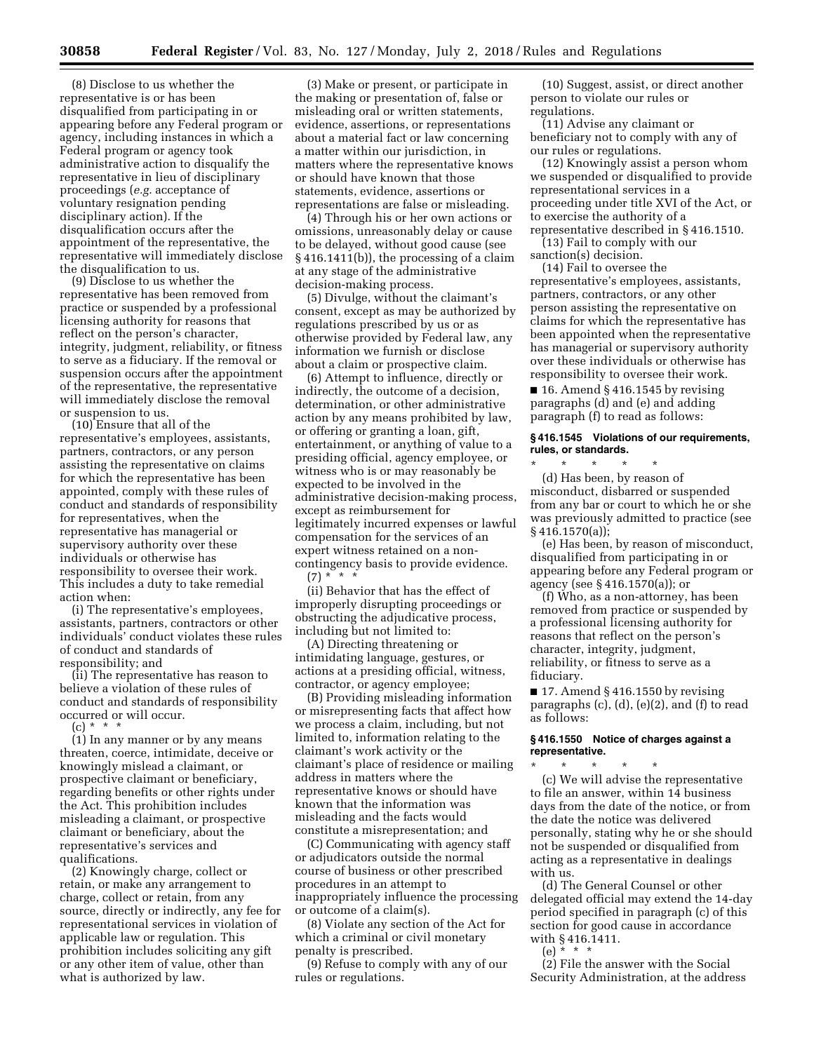(8) Disclose to us whether the representative is or has been disqualified from participating in or appearing before any Federal program or agency, including instances in which a Federal program or agency took administrative action to disqualify the representative in lieu of disciplinary proceedings (*e.g.* acceptance of voluntary resignation pending disciplinary action). If the disqualification occurs after the appointment of the representative, the representative will immediately disclose the disqualification to us.

(9) Disclose to us whether the representative has been removed from practice or suspended by a professional licensing authority for reasons that reflect on the person's character, integrity, judgment, reliability, or fitness to serve as a fiduciary. If the removal or suspension occurs after the appointment of the representative, the representative will immediately disclose the removal or suspension to us.

(10) Ensure that all of the representative's employees, assistants, partners, contractors, or any person assisting the representative on claims for which the representative has been appointed, comply with these rules of conduct and standards of responsibility for representatives, when the representative has managerial or supervisory authority over these individuals or otherwise has responsibility to oversee their work. This includes a duty to take remedial action when:

(i) The representative's employees, assistants, partners, contractors or other individuals' conduct violates these rules of conduct and standards of responsibility; and

(ii) The representative has reason to believe a violation of these rules of conduct and standards of responsibility occurred or will occur.

 $(c) * * * *$ 

(1) In any manner or by any means threaten, coerce, intimidate, deceive or knowingly mislead a claimant, or prospective claimant or beneficiary, regarding benefits or other rights under the Act. This prohibition includes misleading a claimant, or prospective claimant or beneficiary, about the representative's services and qualifications.

(2) Knowingly charge, collect or retain, or make any arrangement to charge, collect or retain, from any source, directly or indirectly, any fee for representational services in violation of applicable law or regulation. This prohibition includes soliciting any gift or any other item of value, other than what is authorized by law.

(3) Make or present, or participate in the making or presentation of, false or misleading oral or written statements, evidence, assertions, or representations about a material fact or law concerning a matter within our jurisdiction, in matters where the representative knows or should have known that those statements, evidence, assertions or representations are false or misleading.

(4) Through his or her own actions or omissions, unreasonably delay or cause to be delayed, without good cause (see § 416.1411(b)), the processing of a claim at any stage of the administrative decision-making process.

(5) Divulge, without the claimant's consent, except as may be authorized by regulations prescribed by us or as otherwise provided by Federal law, any information we furnish or disclose about a claim or prospective claim.

(6) Attempt to influence, directly or indirectly, the outcome of a decision, determination, or other administrative action by any means prohibited by law, or offering or granting a loan, gift, entertainment, or anything of value to a presiding official, agency employee, or witness who is or may reasonably be expected to be involved in the administrative decision-making process, except as reimbursement for legitimately incurred expenses or lawful compensation for the services of an expert witness retained on a noncontingency basis to provide evidence.  $(7) * * * *$ 

(ii) Behavior that has the effect of improperly disrupting proceedings or obstructing the adjudicative process, including but not limited to:

(A) Directing threatening or intimidating language, gestures, or actions at a presiding official, witness, contractor, or agency employee;

(B) Providing misleading information or misrepresenting facts that affect how we process a claim, including, but not limited to, information relating to the claimant's work activity or the claimant's place of residence or mailing address in matters where the representative knows or should have known that the information was misleading and the facts would constitute a misrepresentation; and

(C) Communicating with agency staff or adjudicators outside the normal course of business or other prescribed procedures in an attempt to inappropriately influence the processing or outcome of a claim(s).

(8) Violate any section of the Act for which a criminal or civil monetary penalty is prescribed.

(9) Refuse to comply with any of our rules or regulations.

(10) Suggest, assist, or direct another person to violate our rules or regulations.

(11) Advise any claimant or beneficiary not to comply with any of our rules or regulations.

(12) Knowingly assist a person whom we suspended or disqualified to provide representational services in a proceeding under title XVI of the Act, or to exercise the authority of a representative described in § 416.1510.

(13) Fail to comply with our

sanction(s) decision.

(14) Fail to oversee the representative's employees, assistants, partners, contractors, or any other person assisting the representative on claims for which the representative has been appointed when the representative has managerial or supervisory authority over these individuals or otherwise has responsibility to oversee their work.

 $\blacksquare$  16. Amend § 416.1545 by revising paragraphs (d) and (e) and adding paragraph (f) to read as follows:

## **§ 416.1545 Violations of our requirements, rules, or standards.**

\* \* \* \* \* (d) Has been, by reason of misconduct, disbarred or suspended from any bar or court to which he or she was previously admitted to practice (see § 416.1570(a));

(e) Has been, by reason of misconduct, disqualified from participating in or appearing before any Federal program or agency (see § 416.1570(a)); or

(f) Who, as a non-attorney, has been removed from practice or suspended by a professional licensing authority for reasons that reflect on the person's character, integrity, judgment, reliability, or fitness to serve as a fiduciary.

 $\blacksquare$  17. Amend § 416.1550 by revising paragraphs (c), (d), (e)(2), and (f) to read as follows:

### **§ 416.1550 Notice of charges against a representative.**

\* \* \* \* \* (c) We will advise the representative to file an answer, within  $14$  business days from the date of the notice, or from the date the notice was delivered personally, stating why he or she should not be suspended or disqualified from acting as a representative in dealings with us.

(d) The General Counsel or other delegated official may extend the 14-day period specified in paragraph (c) of this section for good cause in accordance with § 416.1411.

 $(e) * * * * *$ 

(2) File the answer with the Social Security Administration, at the address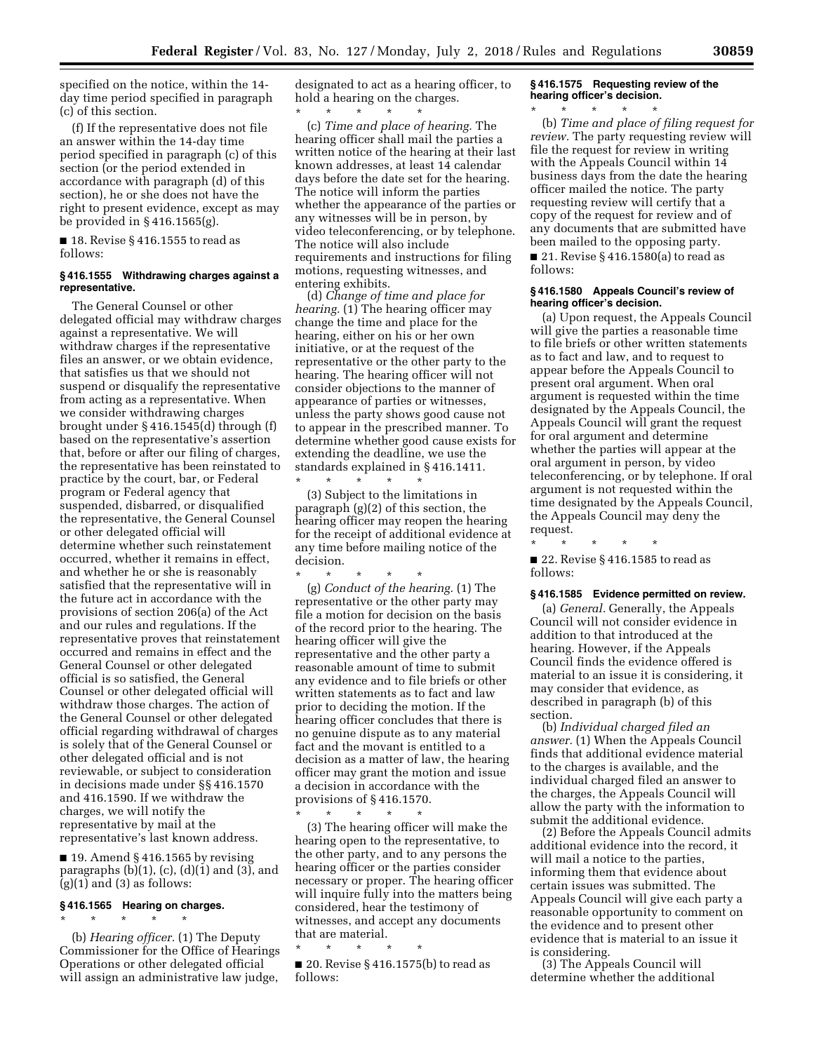specified on the notice, within the 14 day time period specified in paragraph (c) of this section.

(f) If the representative does not file an answer within the 14-day time period specified in paragraph (c) of this section (or the period extended in accordance with paragraph (d) of this section), he or she does not have the right to present evidence, except as may be provided in § 416.1565(g).

■ 18. Revise § 416.1555 to read as follows:

### **§ 416.1555 Withdrawing charges against a representative.**

The General Counsel or other delegated official may withdraw charges against a representative. We will withdraw charges if the representative files an answer, or we obtain evidence, that satisfies us that we should not suspend or disqualify the representative from acting as a representative. When we consider withdrawing charges brought under § 416.1545(d) through (f) based on the representative's assertion that, before or after our filing of charges, the representative has been reinstated to practice by the court, bar, or Federal program or Federal agency that suspended, disbarred, or disqualified the representative, the General Counsel or other delegated official will determine whether such reinstatement occurred, whether it remains in effect, and whether he or she is reasonably satisfied that the representative will in the future act in accordance with the provisions of section 206(a) of the Act and our rules and regulations. If the representative proves that reinstatement occurred and remains in effect and the General Counsel or other delegated official is so satisfied, the General Counsel or other delegated official will withdraw those charges. The action of the General Counsel or other delegated official regarding withdrawal of charges is solely that of the General Counsel or other delegated official and is not reviewable, or subject to consideration in decisions made under §§ 416.1570 and 416.1590. If we withdraw the charges, we will notify the representative by mail at the representative's last known address.

■ 19. Amend § 416.1565 by revising paragraphs  $(b)(1)$ ,  $(c)$ ,  $(d)(1)$  and  $(3)$ , and  $(g)(1)$  and  $(3)$  as follows:

## **§ 416.1565 Hearing on charges.**

\* \* \* \* \*

(b) *Hearing officer.* (1) The Deputy Commissioner for the Office of Hearings Operations or other delegated official will assign an administrative law judge,

designated to act as a hearing officer, to hold a hearing on the charges. \* \* \* \* \*

(c) *Time and place of hearing.* The hearing officer shall mail the parties a written notice of the hearing at their last known addresses, at least 14 calendar days before the date set for the hearing. The notice will inform the parties whether the appearance of the parties or any witnesses will be in person, by video teleconferencing, or by telephone. The notice will also include requirements and instructions for filing motions, requesting witnesses, and entering exhibits.

(d) *Change of time and place for hearing.* (1) The hearing officer may change the time and place for the hearing, either on his or her own initiative, or at the request of the representative or the other party to the hearing. The hearing officer will not consider objections to the manner of appearance of parties or witnesses, unless the party shows good cause not to appear in the prescribed manner. To determine whether good cause exists for extending the deadline, we use the standards explained in § 416.1411. \* \* \* \* \*

(3) Subject to the limitations in paragraph (g)(2) of this section, the hearing officer may reopen the hearing for the receipt of additional evidence at any time before mailing notice of the decision.

\* \* \* \* \* (g) *Conduct of the hearing.* (1) The representative or the other party may file a motion for decision on the basis of the record prior to the hearing. The hearing officer will give the representative and the other party a reasonable amount of time to submit any evidence and to file briefs or other written statements as to fact and law prior to deciding the motion. If the hearing officer concludes that there is no genuine dispute as to any material fact and the movant is entitled to a decision as a matter of law, the hearing officer may grant the motion and issue a decision in accordance with the provisions of § 416.1570.

\* \* \* \* \* (3) The hearing officer will make the hearing open to the representative, to the other party, and to any persons the hearing officer or the parties consider necessary or proper. The hearing officer will inquire fully into the matters being considered, hear the testimony of witnesses, and accept any documents that are material.

\* \* \* \* \* ■ 20. Revise § 416.1575(b) to read as follows:

# **§ 416.1575 Requesting review of the hearing officer's decision.**

\* \* \* \* \* (b) *Time and place of filing request for review.* The party requesting review will file the request for review in writing with the Appeals Council within 14 business days from the date the hearing officer mailed the notice. The party requesting review will certify that a copy of the request for review and of any documents that are submitted have been mailed to the opposing party.

■ 21. Revise § 416.1580(a) to read as follows:

### **§ 416.1580 Appeals Council's review of hearing officer's decision.**

(a) Upon request, the Appeals Council will give the parties a reasonable time to file briefs or other written statements as to fact and law, and to request to appear before the Appeals Council to present oral argument. When oral argument is requested within the time designated by the Appeals Council, the Appeals Council will grant the request for oral argument and determine whether the parties will appear at the oral argument in person, by video teleconferencing, or by telephone. If oral argument is not requested within the time designated by the Appeals Council, the Appeals Council may deny the request.

\* \* \* \* \* ■ 22. Revise § 416.1585 to read as follows:

**§ 416.1585 Evidence permitted on review.** 

(a) *General.* Generally, the Appeals Council will not consider evidence in addition to that introduced at the hearing. However, if the Appeals Council finds the evidence offered is material to an issue it is considering, it may consider that evidence, as described in paragraph (b) of this section.

(b) *Individual charged filed an answer.* (1) When the Appeals Council finds that additional evidence material to the charges is available, and the individual charged filed an answer to the charges, the Appeals Council will allow the party with the information to submit the additional evidence.

(2) Before the Appeals Council admits additional evidence into the record, it will mail a notice to the parties, informing them that evidence about certain issues was submitted. The Appeals Council will give each party a reasonable opportunity to comment on the evidence and to present other evidence that is material to an issue it is considering.

(3) The Appeals Council will determine whether the additional